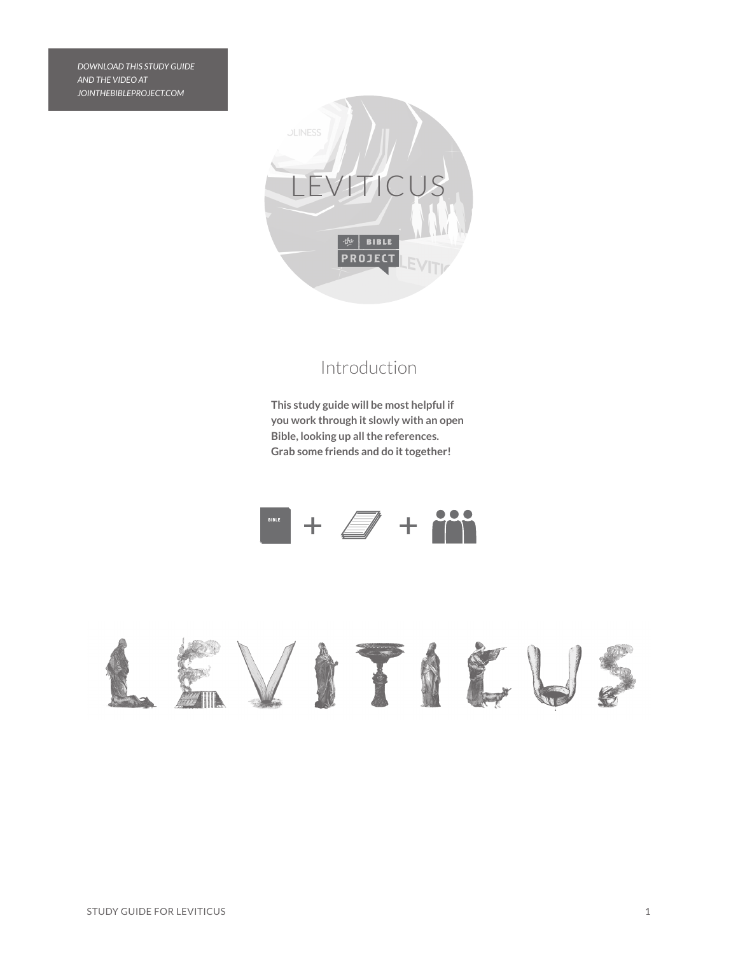*DOWNLOAD THIS STUDY GUIDE AND THE VIDEO AT JOINTHEBIBLEPROJECT.COM*



## Introduction

**This study guide will be most helpful if you work through it slowly with an open Bible, looking up all the references. Grab some friends and do it together!**



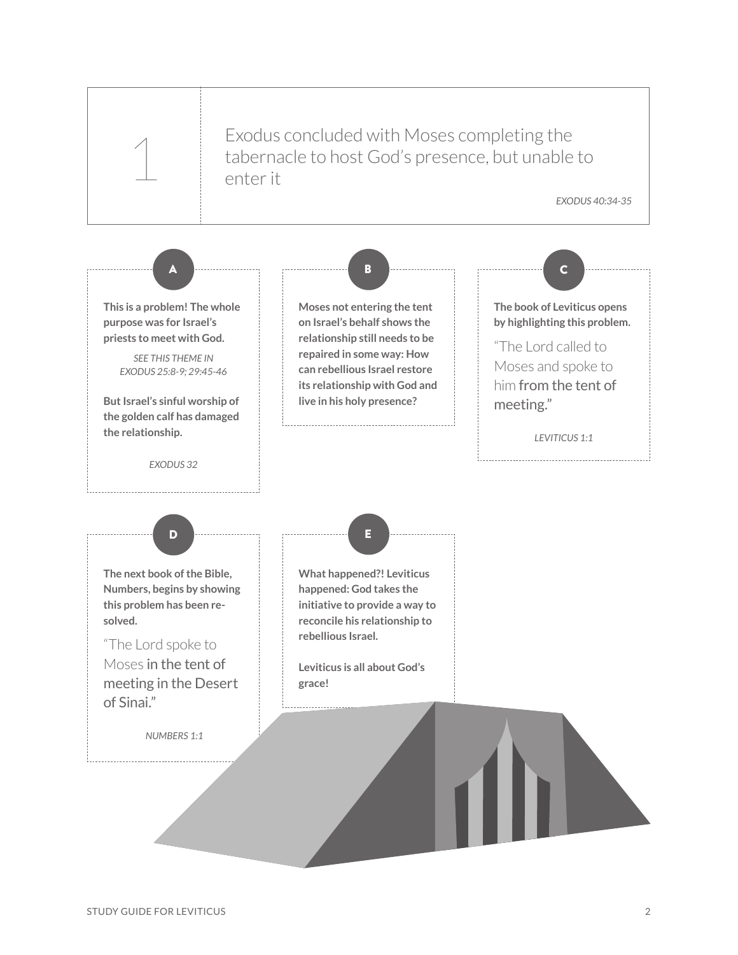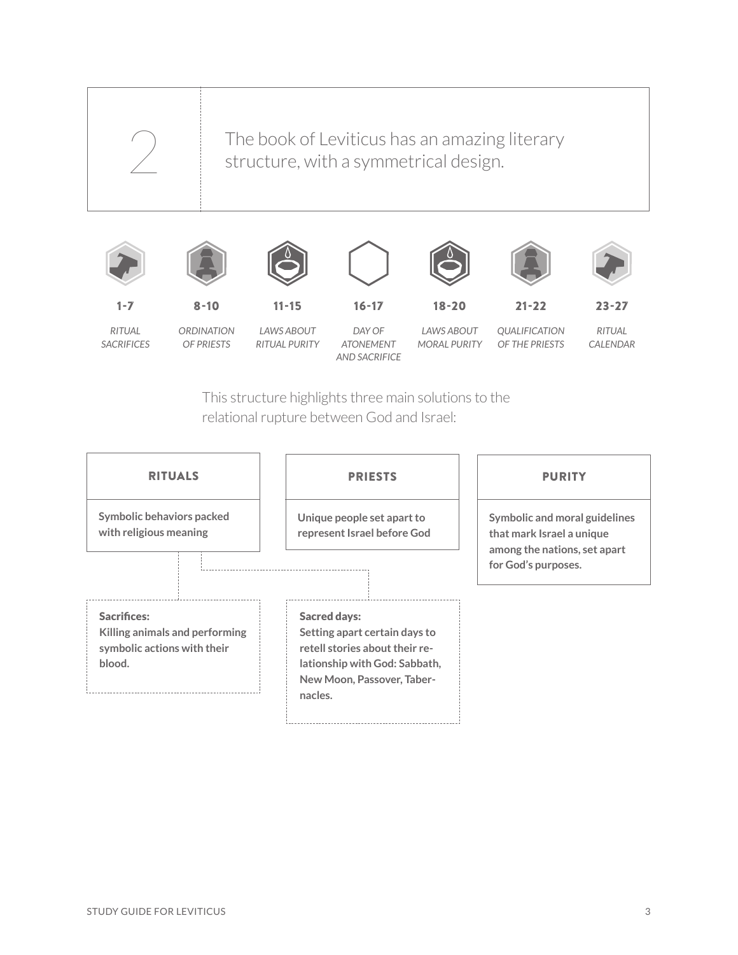

*RITUAL SACRIFICES*

*ORDINATION OF PRIESTS*

*LAWS ABOUT RITUAL PURITY*

*DAY OF ATONEMENT AND SACRIFICE*

*LAWS ABOUT MORAL PURITY*

*QUALIFICATION OF THE PRIESTS*

*RITUAL CALENDAR*

This structure highlights three main solutions to the relational rupture between God and Israel:

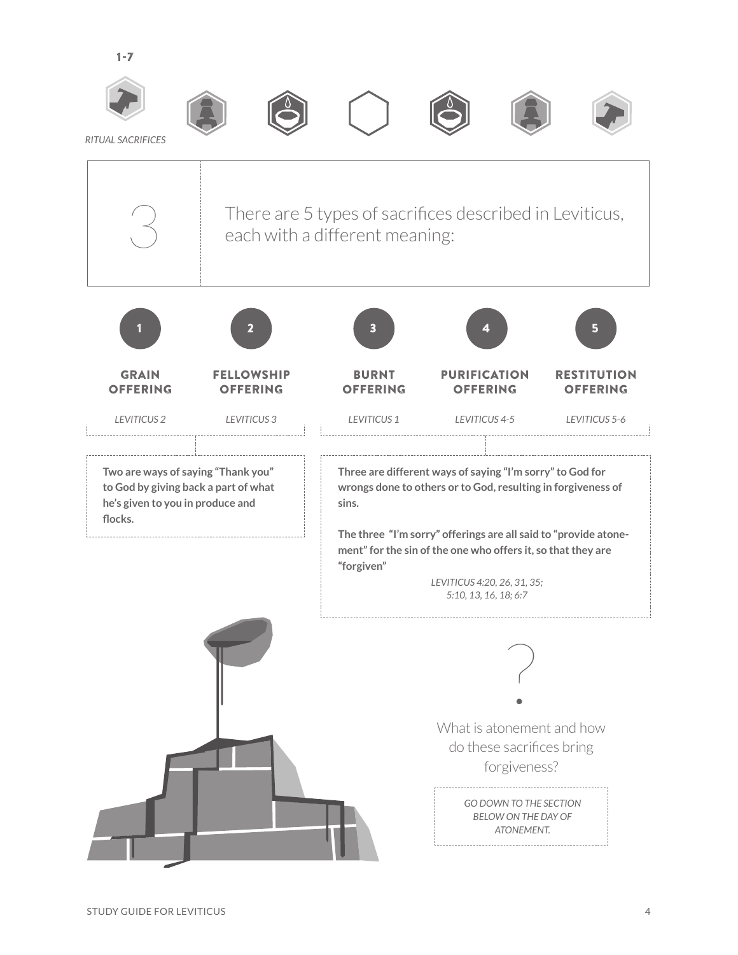



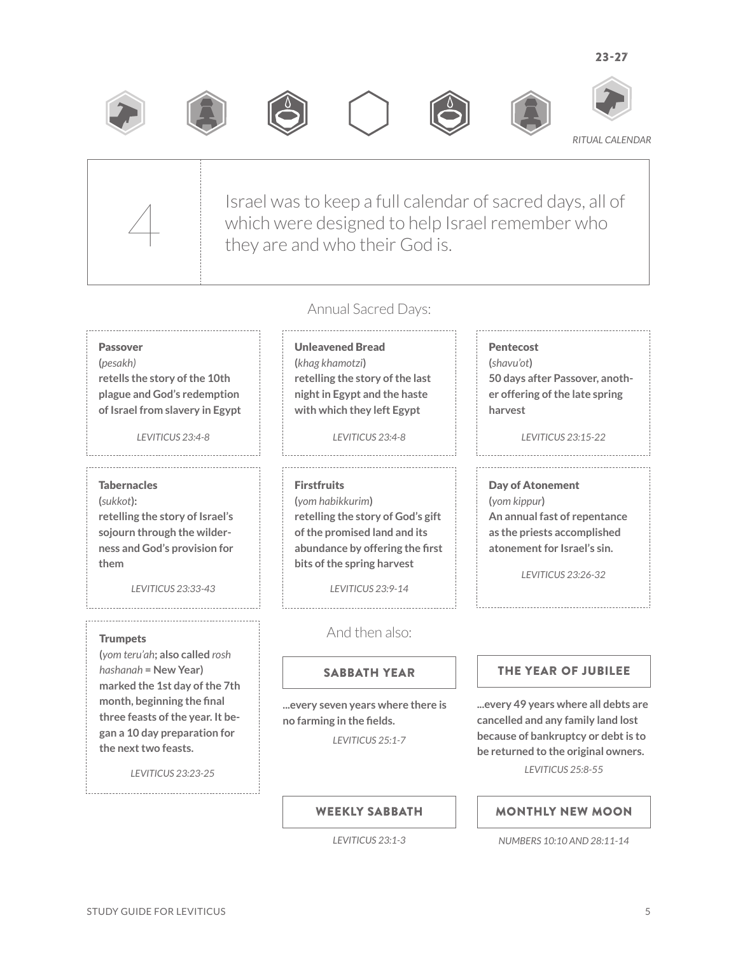











*RITUAL CALENDAR*



Israel was to keep a full calendar of sacred days, all of which were designed to help Israel remember who<br>they are and who their God is.

## Annual Sacred Days:

## Passover

**(***pesakh)* **retells the story of the 10th plague and God's redemption of Israel from slavery in Egypt**

## **Tabernacles**

**(***sukkot***): retelling the story of Israel's sojourn through the wilderness and God's provision for them**

*LEVITICUS 23:33-43*

## **Trumpets**

**(***yom teru'ah***; also called** *rosh hashanah* **= New Year) marked the 1st day of the 7th month, beginning the final three feasts of the year. It began a 10 day preparation for the next two feasts.**

*LEVITICUS 23:23-25*

Unleavened Bread **(***khag khamotzi***) retelling the story of the last night in Egypt and the haste with which they left Egypt**

*LEVITICUS 23:4-8 LEVITICUS 23:4-8*

Firstfruits **(***yom habikkurim***) retelling the story of God's gift of the promised land and its abundance by offering the first bits of the spring harvest**

*LEVITICUS 23:9-14*

## And then also:

**...every seven years where there is no farming in the fields.**

*LEVITICUS 25:1-7*

## SABBATH YEAR THE YEAR OF JUBILEE

**...every 49 years where all debts are cancelled and any family land lost because of bankruptcy or debt is to be returned to the original owners.** *LEVITICUS 25:8-55*

WEEKLY SABBATH

## *LEVITICUS 23:1-3*

# MONTHLY NEW MOON

*NUMBERS 10:10 AND 28:11-14*

# **(***yom kippur***)**

*LEVITICUS 23:26-32*

**50 days after Passover, another offering of the late spring** 

*LEVITICUS 23:15-22*

Day of Atonement **An annual fast of repentance** 

**as the priests accomplished atonement for Israel's sin.**

Pentecost **(***shavu'ot***)**

**harvest**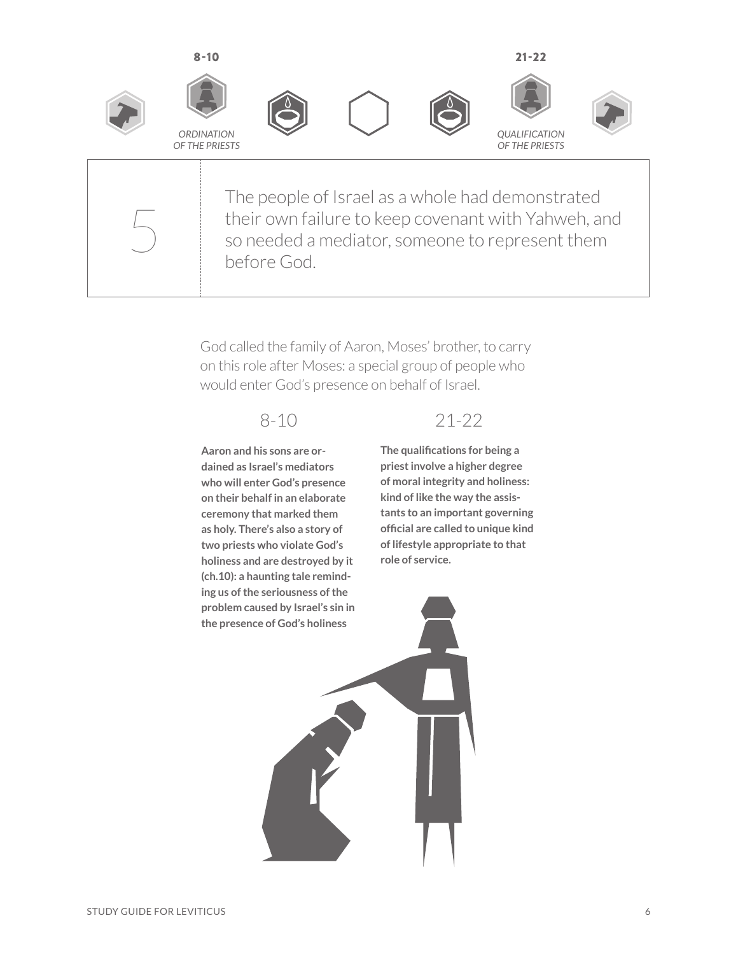

The people of Israel as a whole had demonstrated their own failure to keep covenant with Yahweh, and<br>
so needed a mediator, someone to represent them<br>
before God before God.

> God called the family of Aaron, Moses' brother, to carry on this role after Moses: a special group of people who would enter God's presence on behalf of Israel.

**Aaron and his sons are ordained as Israel's mediators who will enter God's presence on their behalf in an elaborate ceremony that marked them as holy. There's also a story of two priests who violate God's holiness and are destroyed by it (ch.10): a haunting tale reminding us of the seriousness of the problem caused by Israel's sin in the presence of God's holiness**

## 8-10 21-22

**The qualifications for being a priest involve a higher degree of moral integrity and holiness: kind of like the way the assistants to an important governing official are called to unique kind of lifestyle appropriate to that role of service.**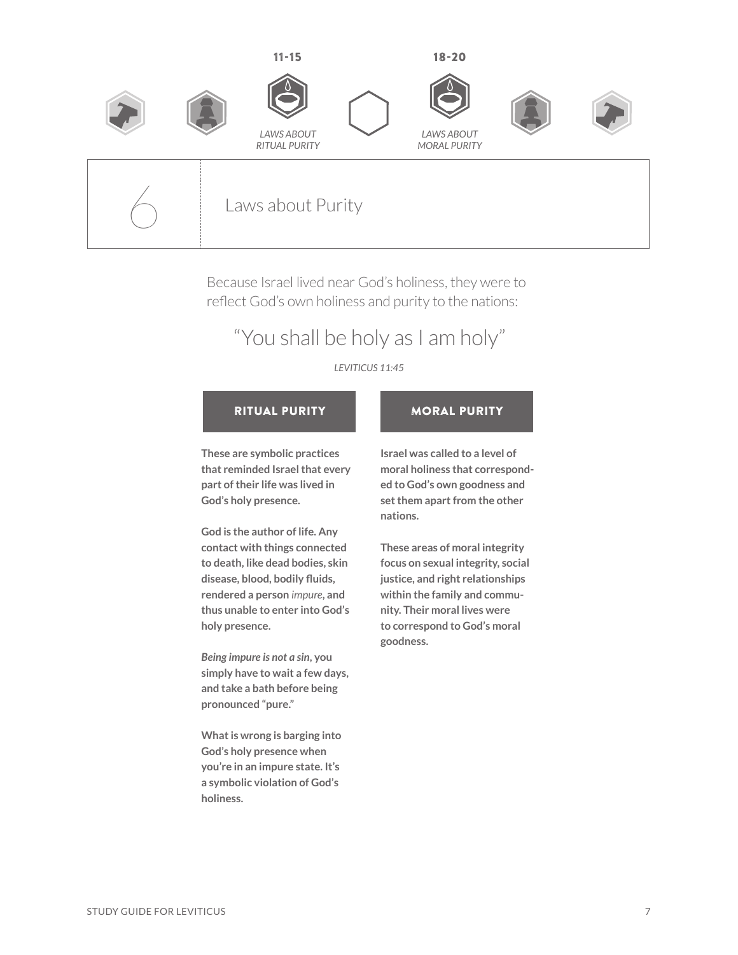

Because Israel lived near God's holiness, they were to reflect God's own holiness and purity to the nations:

# "You shall be holy as I am holy"

## *LEVITICUS 11:45*

## RITUAL PURITY **NORAL PURITY**

**These are symbolic practices that reminded Israel that every part of their life was lived in God's holy presence.** 

**God is the author of life. Any contact with things connected to death, like dead bodies, skin disease, blood, bodily fluids, rendered a person** *impure***, and thus unable to enter into God's holy presence.**

*Being impure is not a sin***, you simply have to wait a few days, and take a bath before being pronounced "pure."**

**What is wrong is barging into God's holy presence when you're in an impure state. It's a symbolic violation of God's holiness.**

**Israel was called to a level of moral holiness that corresponded to God's own goodness and set them apart from the other nations.** 

**These areas of moral integrity focus on sexual integrity, social justice, and right relationships within the family and community. Their moral lives were to correspond to God's moral goodness.**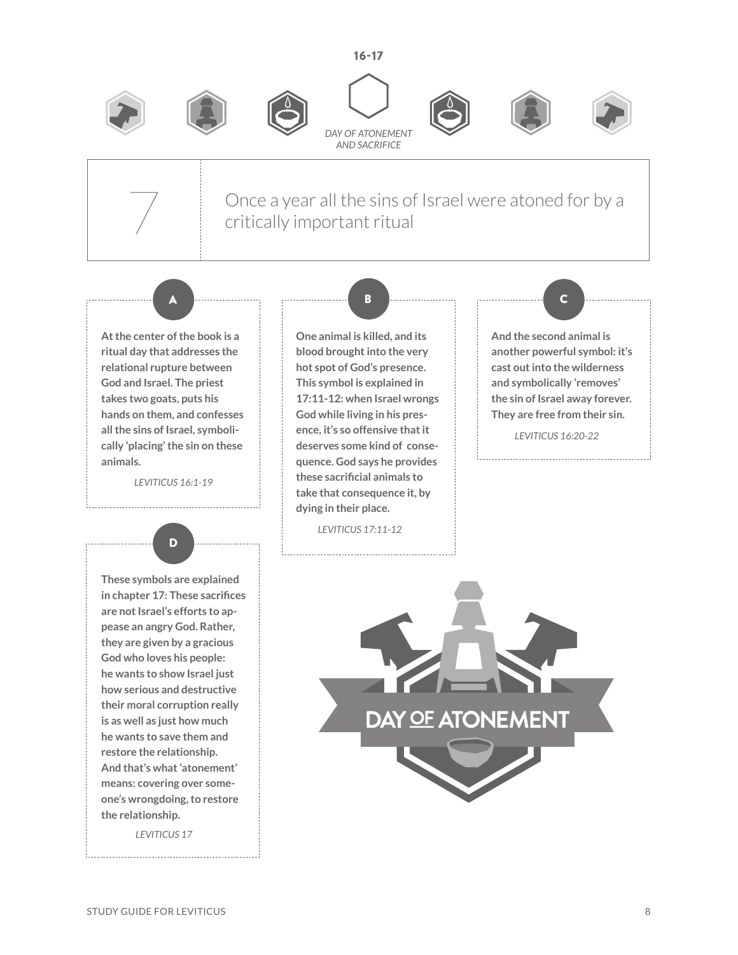















Once a year all the sins of Israel were atoned for by a critically important ritual

A <del>Dinama and the continuum of B</del> d<del>inama and the continuum of C</del>

**At the center of the book is a ritual day that addresses the relational rupture between God and Israel. The priest takes two goats, puts his hands on them, and confesses all the sins of Israel, symbolically 'placing' the sin on these animals.**

*LEVITICUS 16:1-19*



**These symbols are explained in chapter 17: These sacrifices are not Israel's efforts to appease an angry God. Rather, they are given by a gracious God who loves his people: he wants to show Israel just how serious and destructive their moral corruption really is as well as just how much he wants to save them and restore the relationship. And that's what 'atonement' means: covering over someone's wrongdoing, to restore the relationship.**

*LEVITICUS 17*

**One animal is killed, and its blood brought into the very hot spot of God's presence. This symbol is explained in 17:11-12: when Israel wrongs God while living in his presence, it's so offensive that it deserves some kind of consequence. God says he provides these sacrificial animals to take that consequence it, by dying in their place.** 

*LEVITICUS 17:11-12*

------------------------------------

**And the second animal is another powerful symbol: it's cast out into the wilderness and symbolically 'removes' the sin of Israel away forever.** 

**They are free from their sin.** *LEVITICUS 16:20-22*

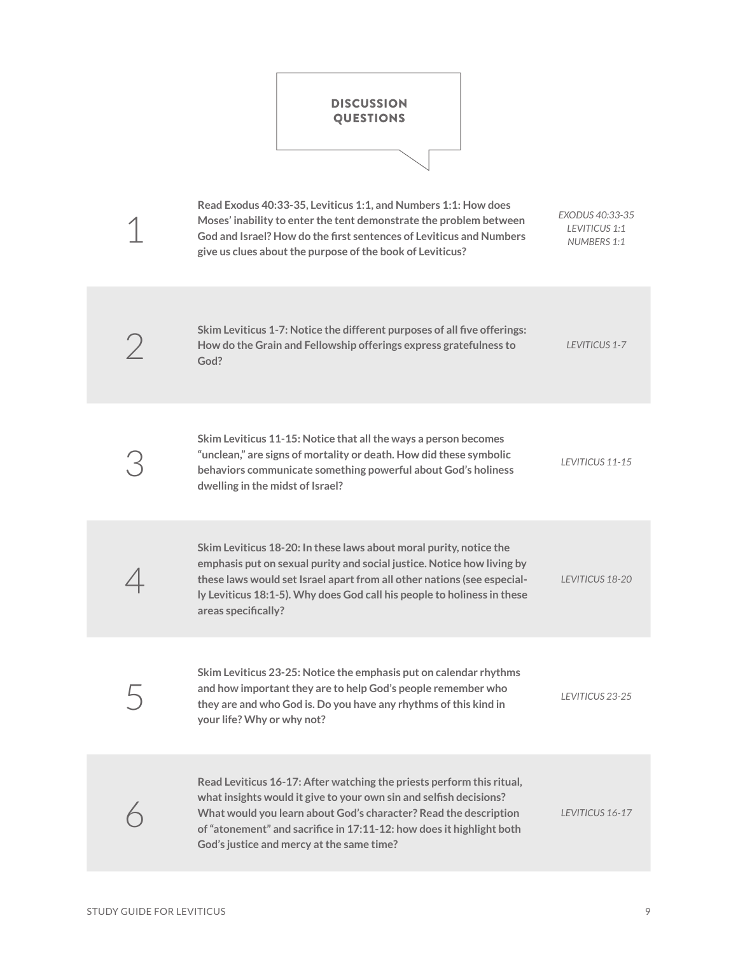

| Read Exodus 40:33-35, Leviticus 1:1, and Numbers 1:1: How does<br>Moses' inability to enter the tent demonstrate the problem between<br>God and Israel? How do the first sentences of Leviticus and Numbers<br>give us clues about the purpose of the book of Leviticus?                                                             | EXODUS 40:33-35<br>LEVITICUS 1:1<br>NUMBERS 1:1 |
|--------------------------------------------------------------------------------------------------------------------------------------------------------------------------------------------------------------------------------------------------------------------------------------------------------------------------------------|-------------------------------------------------|
| Skim Leviticus 1-7: Notice the different purposes of all five offerings:<br>How do the Grain and Fellowship offerings express gratefulness to<br>God?                                                                                                                                                                                | LEVITICUS 1-7                                   |
| Skim Leviticus 11-15: Notice that all the ways a person becomes<br>"unclean," are signs of mortality or death. How did these symbolic<br>behaviors communicate something powerful about God's holiness<br>dwelling in the midst of Israel?                                                                                           | LEVITICUS 11-15                                 |
| Skim Leviticus 18-20: In these laws about moral purity, notice the<br>emphasis put on sexual purity and social justice. Notice how living by<br>these laws would set Israel apart from all other nations (see especial-<br>ly Leviticus 18:1-5). Why does God call his people to holiness in these<br>areas specifically?            | LEVITICUS 18-20                                 |
| Skim Leviticus 23-25: Notice the emphasis put on calendar rhythms<br>and how important they are to help God's people remember who<br>they are and who God is. Do you have any rhythms of this kind in<br>your life? Why or why not?                                                                                                  | LEVITICUS 23-25                                 |
| Read Leviticus 16-17: After watching the priests perform this ritual,<br>what insights would it give to your own sin and selfish decisions?<br>What would you learn about God's character? Read the description<br>of "atonement" and sacrifice in 17:11-12: how does it highlight both<br>God's justice and mercy at the same time? | LEVITICUS 16-17                                 |